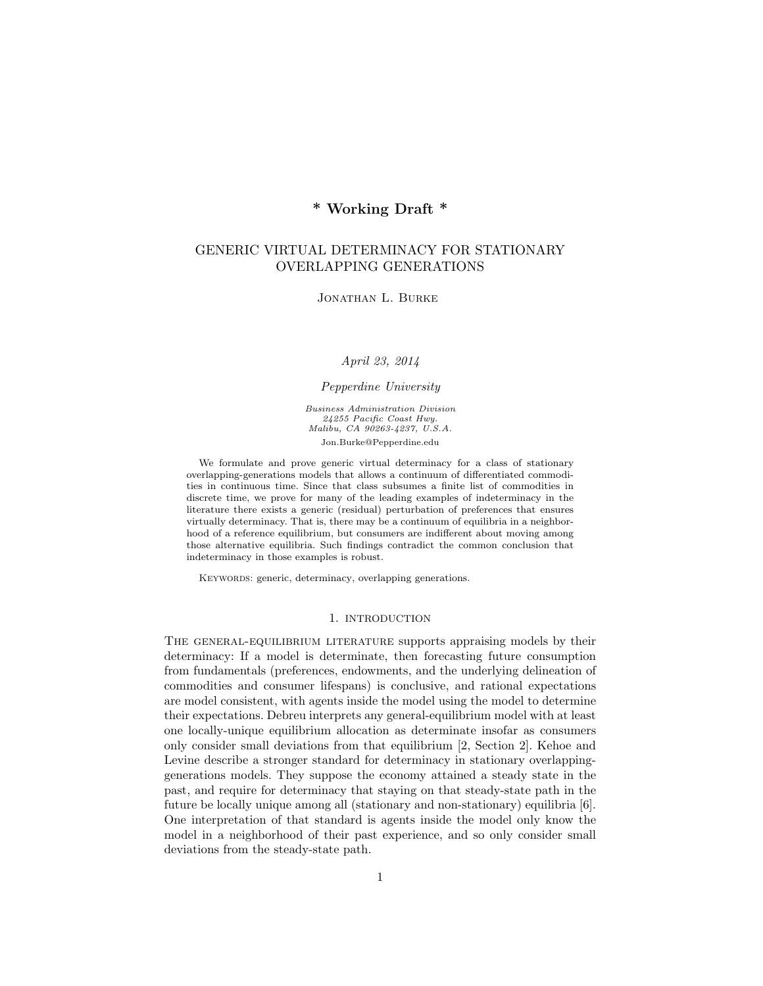# \* Working Draft \*

# GENERIC VIRTUAL DETERMINACY FOR STATIONARY OVERLAPPING GENERATIONS

Jonathan L. Burke

April 23, 2014

Pepperdine University

Business Administration Division 24255 Pacific Coast Hwy. Malibu, CA 90263-4237, U.S.A. Jon.Burke@Pepperdine.edu

We formulate and prove generic virtual determinacy for a class of stationary overlapping-generations models that allows a continuum of differentiated commodities in continuous time. Since that class subsumes a finite list of commodities in discrete time, we prove for many of the leading examples of indeterminacy in the literature there exists a generic (residual) perturbation of preferences that ensures virtually determinacy. That is, there may be a continuum of equilibria in a neighborhood of a reference equilibrium, but consumers are indifferent about moving among those alternative equilibria. Such findings contradict the common conclusion that indeterminacy in those examples is robust.

KEYWORDS: generic, determinacy, overlapping generations.

## 1. INTRODUCTION

The general-equilibrium literature supports appraising models by their determinacy: If a model is determinate, then forecasting future consumption from fundamentals (preferences, endowments, and the underlying delineation of commodities and consumer lifespans) is conclusive, and rational expectations are model consistent, with agents inside the model using the model to determine their expectations. Debreu interprets any general-equilibrium model with at least one locally-unique equilibrium allocation as determinate insofar as consumers only consider small deviations from that equilibrium [2, Section 2]. Kehoe and Levine describe a stronger standard for determinacy in stationary overlappinggenerations models. They suppose the economy attained a steady state in the past, and require for determinacy that staying on that steady-state path in the future be locally unique among all (stationary and non-stationary) equilibria [6]. One interpretation of that standard is agents inside the model only know the model in a neighborhood of their past experience, and so only consider small deviations from the steady-state path.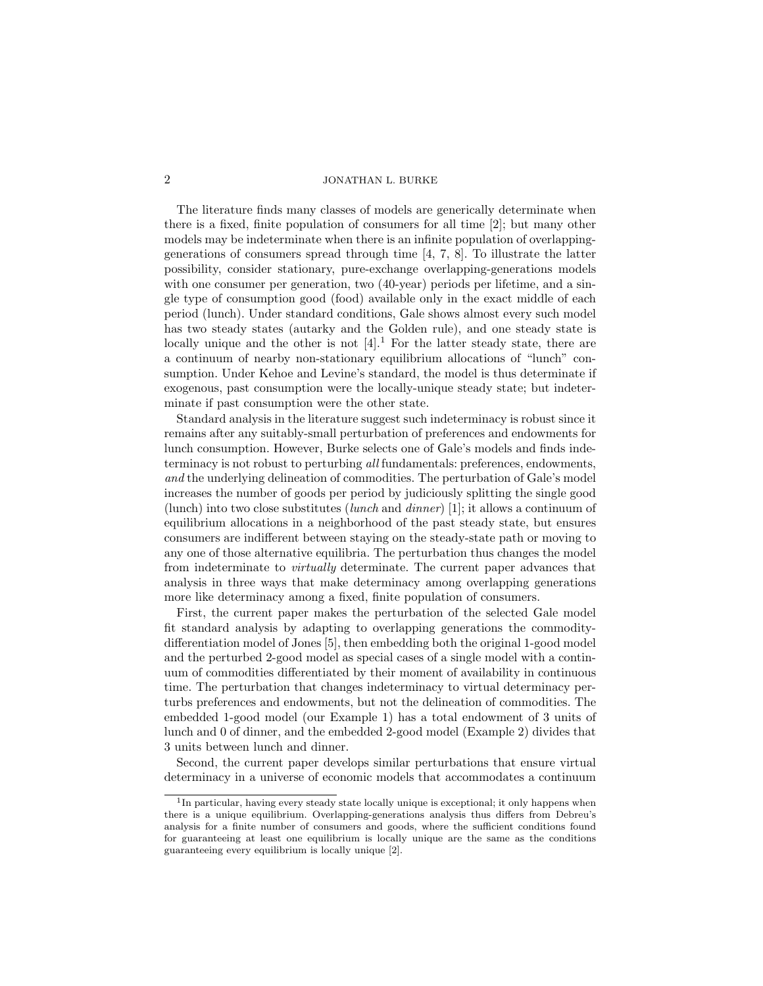The literature finds many classes of models are generically determinate when there is a fixed, finite population of consumers for all time [2]; but many other models may be indeterminate when there is an infinite population of overlappinggenerations of consumers spread through time [4, 7, 8]. To illustrate the latter possibility, consider stationary, pure-exchange overlapping-generations models with one consumer per generation, two  $(40$ -year) periods per lifetime, and a single type of consumption good (food) available only in the exact middle of each period (lunch). Under standard conditions, Gale shows almost every such model has two steady states (autarky and the Golden rule), and one steady state is locally unique and the other is not  $[4]$ <sup>1</sup>. For the latter steady state, there are a continuum of nearby non-stationary equilibrium allocations of "lunch" consumption. Under Kehoe and Levine's standard, the model is thus determinate if exogenous, past consumption were the locally-unique steady state; but indeterminate if past consumption were the other state.

Standard analysis in the literature suggest such indeterminacy is robust since it remains after any suitably-small perturbation of preferences and endowments for lunch consumption. However, Burke selects one of Gale's models and finds indeterminacy is not robust to perturbing all fundamentals: preferences, endowments, and the underlying delineation of commodities. The perturbation of Gale's model increases the number of goods per period by judiciously splitting the single good (lunch) into two close substitutes (*lunch* and *dinner*) [1]; it allows a continuum of equilibrium allocations in a neighborhood of the past steady state, but ensures consumers are indifferent between staying on the steady-state path or moving to any one of those alternative equilibria. The perturbation thus changes the model from indeterminate to virtually determinate. The current paper advances that analysis in three ways that make determinacy among overlapping generations more like determinacy among a fixed, finite population of consumers.

First, the current paper makes the perturbation of the selected Gale model fit standard analysis by adapting to overlapping generations the commoditydifferentiation model of Jones [5], then embedding both the original 1-good model and the perturbed 2-good model as special cases of a single model with a continuum of commodities differentiated by their moment of availability in continuous time. The perturbation that changes indeterminacy to virtual determinacy perturbs preferences and endowments, but not the delineation of commodities. The embedded 1-good model (our Example 1) has a total endowment of 3 units of lunch and 0 of dinner, and the embedded 2-good model (Example 2) divides that 3 units between lunch and dinner.

Second, the current paper develops similar perturbations that ensure virtual determinacy in a universe of economic models that accommodates a continuum

<sup>&</sup>lt;sup>1</sup>In particular, having every steady state locally unique is exceptional; it only happens when there is a unique equilibrium. Overlapping-generations analysis thus differs from Debreu's analysis for a finite number of consumers and goods, where the sufficient conditions found for guaranteeing at least one equilibrium is locally unique are the same as the conditions guaranteeing every equilibrium is locally unique [2].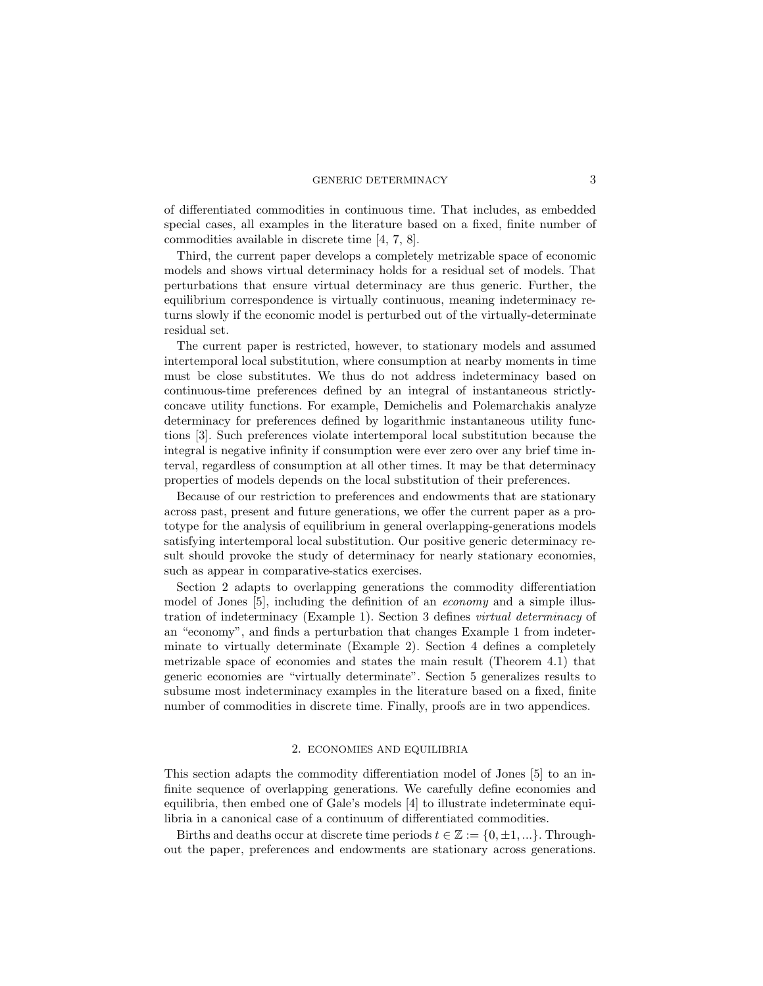of differentiated commodities in continuous time. That includes, as embedded special cases, all examples in the literature based on a fixed, finite number of commodities available in discrete time [4, 7, 8].

Third, the current paper develops a completely metrizable space of economic models and shows virtual determinacy holds for a residual set of models. That perturbations that ensure virtual determinacy are thus generic. Further, the equilibrium correspondence is virtually continuous, meaning indeterminacy returns slowly if the economic model is perturbed out of the virtually-determinate residual set.

The current paper is restricted, however, to stationary models and assumed intertemporal local substitution, where consumption at nearby moments in time must be close substitutes. We thus do not address indeterminacy based on continuous-time preferences defined by an integral of instantaneous strictlyconcave utility functions. For example, Demichelis and Polemarchakis analyze determinacy for preferences defined by logarithmic instantaneous utility functions [3]. Such preferences violate intertemporal local substitution because the integral is negative infinity if consumption were ever zero over any brief time interval, regardless of consumption at all other times. It may be that determinacy properties of models depends on the local substitution of their preferences.

Because of our restriction to preferences and endowments that are stationary across past, present and future generations, we offer the current paper as a prototype for the analysis of equilibrium in general overlapping-generations models satisfying intertemporal local substitution. Our positive generic determinacy result should provoke the study of determinacy for nearly stationary economies, such as appear in comparative-statics exercises.

Section 2 adapts to overlapping generations the commodity differentiation model of Jones [5], including the definition of an economy and a simple illustration of indeterminacy (Example 1). Section 3 defines virtual determinacy of an "economy", and finds a perturbation that changes Example 1 from indeterminate to virtually determinate (Example 2). Section 4 defines a completely metrizable space of economies and states the main result (Theorem 4.1) that generic economies are "virtually determinate". Section 5 generalizes results to subsume most indeterminacy examples in the literature based on a fixed, finite number of commodities in discrete time. Finally, proofs are in two appendices.

# 2. ECONOMIES AND EQUILIBRIA

This section adapts the commodity differentiation model of Jones [5] to an infinite sequence of overlapping generations. We carefully define economies and equilibria, then embed one of Gale's models [4] to illustrate indeterminate equilibria in a canonical case of a continuum of differentiated commodities.

Births and deaths occur at discrete time periods  $t \in \mathbb{Z} := \{0, \pm 1, ...\}$ . Throughout the paper, preferences and endowments are stationary across generations.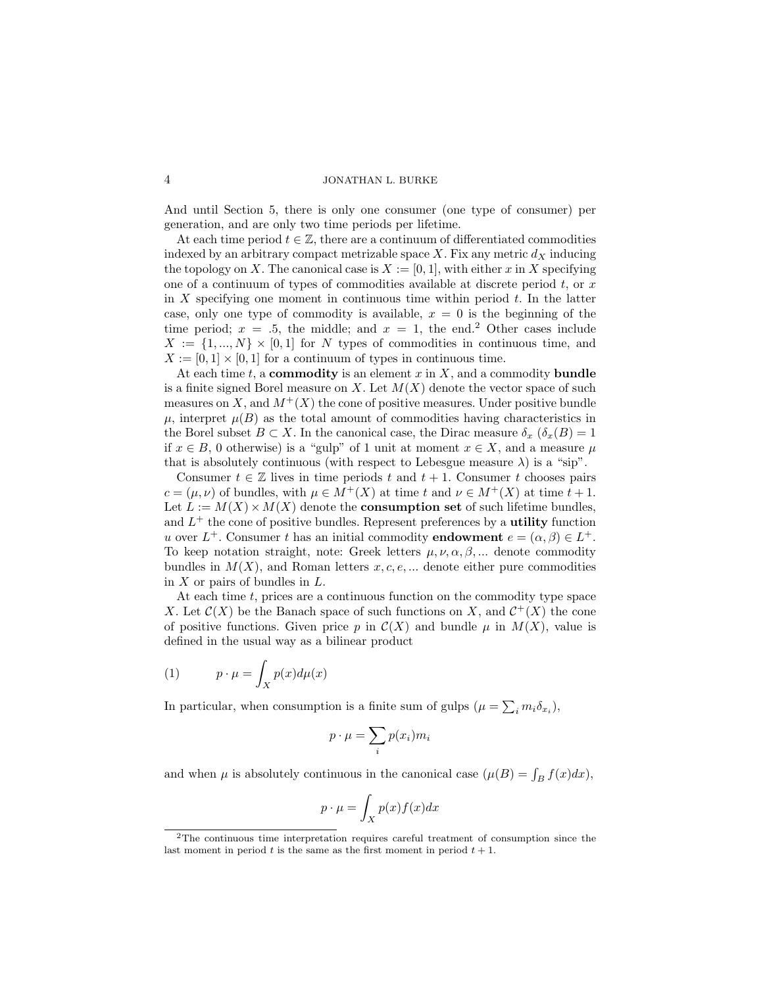And until Section 5, there is only one consumer (one type of consumer) per generation, and are only two time periods per lifetime.

At each time period  $t \in \mathbb{Z}$ , there are a continuum of differentiated commodities indexed by an arbitrary compact metrizable space X. Fix any metric  $d<sub>X</sub>$  inducing the topology on X. The canonical case is  $X := [0, 1]$ , with either x in X specifying one of a continuum of types of commodities available at discrete period  $t$ , or  $x$ in X specifying one moment in continuous time within period  $t$ . In the latter case, only one type of commodity is available,  $x = 0$  is the beginning of the time period;  $x = .5$ , the middle; and  $x = 1$ , the end.<sup>2</sup> Other cases include  $X := \{1, ..., N\} \times [0,1]$  for N types of commodities in continuous time, and  $X := [0, 1] \times [0, 1]$  for a continuum of types in continuous time.

At each time t, a **commodity** is an element  $x$  in  $X$ , and a commodity **bundle** is a finite signed Borel measure on X. Let  $M(X)$  denote the vector space of such measures on X, and  $M^+(X)$  the cone of positive measures. Under positive bundle  $\mu$ , interpret  $\mu(B)$  as the total amount of commodities having characteristics in the Borel subset  $B \subset X$ . In the canonical case, the Dirac measure  $\delta_x$  ( $\delta_x(B) = 1$ if  $x \in B$ , 0 otherwise) is a "gulp" of 1 unit at moment  $x \in X$ , and a measure  $\mu$ that is absolutely continuous (with respect to Lebesgue measure  $\lambda$ ) is a "sip".

Consumer  $t \in \mathbb{Z}$  lives in time periods t and  $t + 1$ . Consumer t chooses pairs  $c = (\mu, \nu)$  of bundles, with  $\mu \in M^+(X)$  at time  $t$  and  $\nu \in M^+(X)$  at time  $t + 1$ . Let  $L := M(X) \times M(X)$  denote the **consumption set** of such lifetime bundles, and  $L^+$  the cone of positive bundles. Represent preferences by a **utility** function u over  $L^+$ . Consumer t has an initial commodity **endowment**  $e = (\alpha, \beta) \in L^+$ . To keep notation straight, note: Greek letters  $\mu, \nu, \alpha, \beta, ...$  denote commodity bundles in  $M(X)$ , and Roman letters  $x, c, e, \dots$  denote either pure commodities in  $X$  or pairs of bundles in  $L$ .

At each time  $t$ , prices are a continuous function on the commodity type space X. Let  $\mathcal{C}(X)$  be the Banach space of such functions on X, and  $\mathcal{C}^{+}(X)$  the cone of positive functions. Given price p in  $\mathcal{C}(X)$  and bundle  $\mu$  in  $M(X)$ , value is defined in the usual way as a bilinear product

(1) 
$$
p \cdot \mu = \int_X p(x) d\mu(x)
$$

In particular, when consumption is a finite sum of gulps  $(\mu = \sum_i m_i \delta_{x_i}),$ 

$$
p \cdot \mu = \sum_{i} p(x_i) m_i
$$

and when  $\mu$  is absolutely continuous in the canonical case  $(\mu(B) = \int_B f(x) dx)$ ,

$$
p \cdot \mu = \int_X p(x) f(x) dx
$$

<sup>2</sup>The continuous time interpretation requires careful treatment of consumption since the last moment in period t is the same as the first moment in period  $t + 1$ .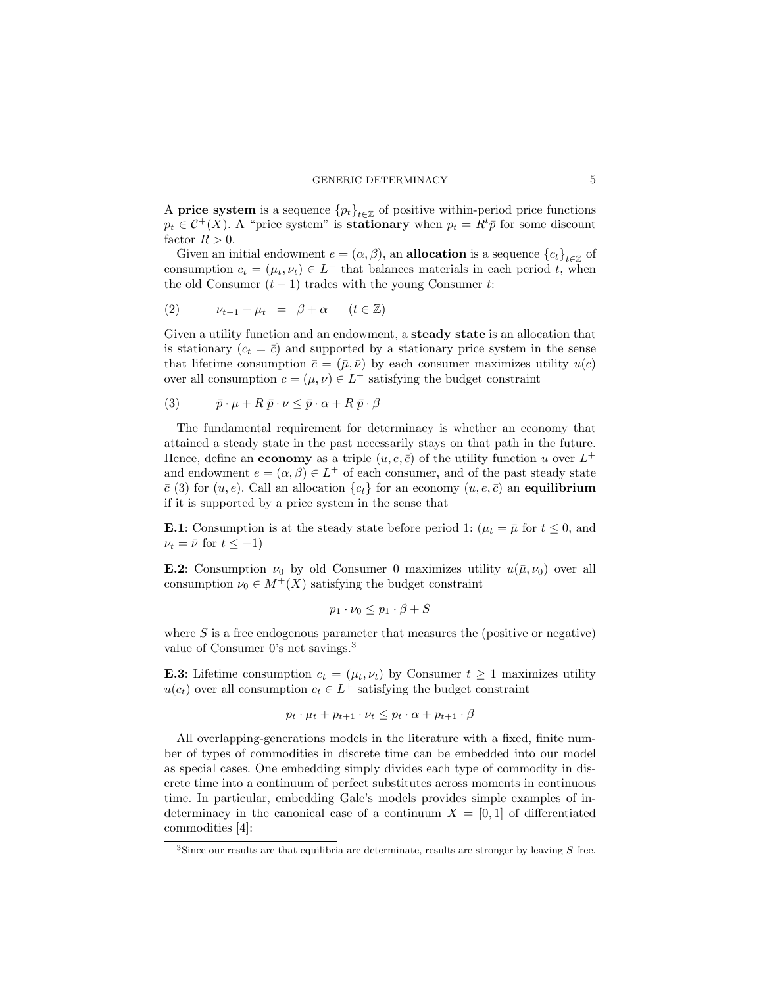A **price system** is a sequence  ${p_t}_{t \in \mathbb{Z}}$  of positive within-period price functions  $p_t \in C^+(X)$ . A "price system" is **stationary** when  $p_t = R^t \bar{p}$  for some discount factor  $R > 0$ .

Given an initial endowment  $e = (\alpha, \beta)$ , an **allocation** is a sequence  $\{c_t\}_{t \in \mathbb{Z}}$  of consumption  $c_t = (\mu_t, \nu_t) \in L^+$  that balances materials in each period t, when the old Consumer  $(t-1)$  trades with the young Consumer t:

$$
(2) \qquad \nu_{t-1} + \mu_t = \beta + \alpha \qquad (t \in \mathbb{Z})
$$

Given a utility function and an endowment, a steady state is an allocation that is stationary  $(c_t = \bar{c})$  and supported by a stationary price system in the sense that lifetime consumption  $\bar{c} = (\bar{\mu}, \bar{\nu})$  by each consumer maximizes utility  $u(c)$ over all consumption  $c = (\mu, \nu) \in L^+$  satisfying the budget constraint

$$
(3) \qquad \bar{p} \cdot \mu + R \, \bar{p} \cdot \nu \leq \bar{p} \cdot \alpha + R \, \bar{p} \cdot \beta
$$

The fundamental requirement for determinacy is whether an economy that attained a steady state in the past necessarily stays on that path in the future. Hence, define an **economy** as a triple  $(u, e, \bar{c})$  of the utility function u over  $L^+$ and endowment  $e = (\alpha, \beta) \in L^+$  of each consumer, and of the past steady state  $\bar{c}$  (3) for  $(u, e)$ . Call an allocation  $\{c_t\}$  for an economy  $(u, e, \bar{c})$  an equilibrium if it is supported by a price system in the sense that

**E.1**: Consumption is at the steady state before period 1:  $(\mu_t = \bar{\mu} \text{ for } t \leq 0, \text{ and})$  $\nu_t = \bar{\nu}$  for  $t \leq -1$ )

**E.2**: Consumption  $\nu_0$  by old Consumer 0 maximizes utility  $u(\bar{\mu}, \nu_0)$  over all consumption  $\nu_0 \in M^+(X)$  satisfying the budget constraint

$$
p_1 \cdot \nu_0 \le p_1 \cdot \beta + S
$$

where  $S$  is a free endogenous parameter that measures the (positive or negative) value of Consumer 0's net savings.<sup>3</sup>

**E.3**: Lifetime consumption  $c_t = (\mu_t, \nu_t)$  by Consumer  $t \geq 1$  maximizes utility  $u(c_t)$  over all consumption  $c_t \in L^+$  satisfying the budget constraint

$$
p_t \cdot \mu_t + p_{t+1} \cdot \nu_t \leq p_t \cdot \alpha + p_{t+1} \cdot \beta
$$

All overlapping-generations models in the literature with a fixed, finite number of types of commodities in discrete time can be embedded into our model as special cases. One embedding simply divides each type of commodity in discrete time into a continuum of perfect substitutes across moments in continuous time. In particular, embedding Gale's models provides simple examples of indeterminacy in the canonical case of a continuum  $X = [0, 1]$  of differentiated commodities [4]:

 $3$ Since our results are that equilibria are determinate, results are stronger by leaving  $S$  free.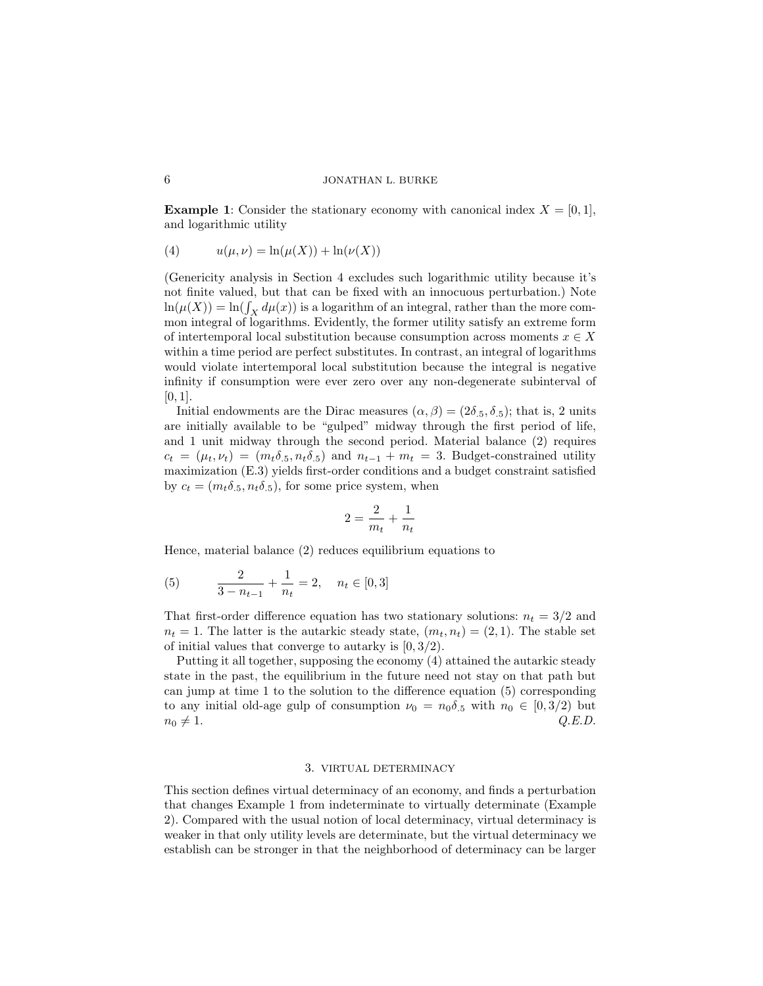**Example 1:** Consider the stationary economy with canonical index  $X = [0, 1]$ , and logarithmic utility

(4) 
$$
u(\mu, \nu) = \ln(\mu(X)) + \ln(\nu(X))
$$

(Genericity analysis in Section 4 excludes such logarithmic utility because it's not finite valued, but that can be fixed with an innocuous perturbation.) Note  $\ln(\mu(X)) = \ln(\int_X d\mu(x))$  is a logarithm of an integral, rather than the more common integral of logarithms. Evidently, the former utility satisfy an extreme form of intertemporal local substitution because consumption across moments  $x \in X$ within a time period are perfect substitutes. In contrast, an integral of logarithms would violate intertemporal local substitution because the integral is negative infinity if consumption were ever zero over any non-degenerate subinterval of  $[0, 1]$ .

Initial endowments are the Dirac measures  $(\alpha, \beta) = (2\delta_{.5}, \delta_{.5})$ ; that is, 2 units are initially available to be "gulped" midway through the first period of life, and 1 unit midway through the second period. Material balance (2) requires  $c_t = (\mu_t, \nu_t) = (m_t \delta_{.5}, n_t \delta_{.5})$  and  $n_{t-1} + m_t = 3$ . Budget-constrained utility maximization (E.3) yields first-order conditions and a budget constraint satisfied by  $c_t = (m_t \delta_{.5}, n_t \delta_{.5})$ , for some price system, when

$$
2=\frac{2}{m_t}+\frac{1}{n_t}
$$

Hence, material balance (2) reduces equilibrium equations to

(5) 
$$
\frac{2}{3 - n_{t-1}} + \frac{1}{n_t} = 2, \quad n_t \in [0, 3]
$$

That first-order difference equation has two stationary solutions:  $n_t = 3/2$  and  $n_t = 1$ . The latter is the autarkic steady state,  $(m_t, n_t) = (2, 1)$ . The stable set of initial values that converge to autarky is [0, 3/2).

Putting it all together, supposing the economy (4) attained the autarkic steady state in the past, the equilibrium in the future need not stay on that path but can jump at time 1 to the solution to the difference equation (5) corresponding to any initial old-age gulp of consumption  $\nu_0 = n_0 \delta_5$  with  $n_0 \in [0, 3/2)$  but  $n_0 \neq 1.$  Q.E.D.

# 3. VIRTUAL DETERMINACY

This section defines virtual determinacy of an economy, and finds a perturbation that changes Example 1 from indeterminate to virtually determinate (Example 2). Compared with the usual notion of local determinacy, virtual determinacy is weaker in that only utility levels are determinate, but the virtual determinacy we establish can be stronger in that the neighborhood of determinacy can be larger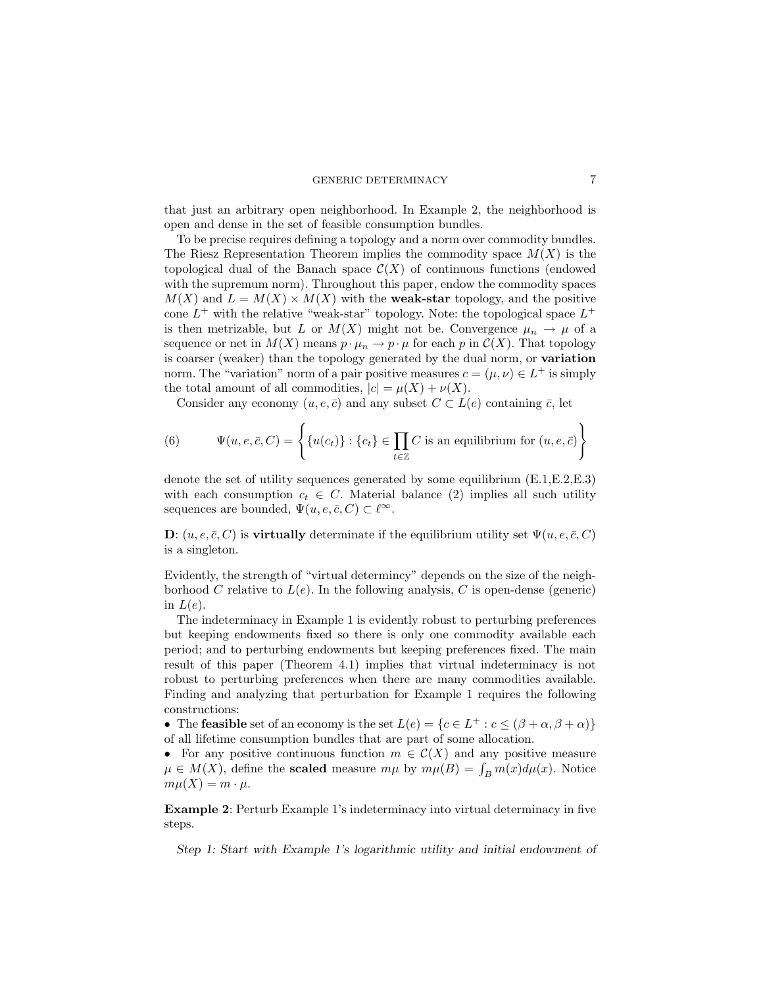### GENERIC DETERMINACY 7

that just an arbitrary open neighborhood. In Example 2, the neighborhood is open and dense in the set of feasible consumption bundles.

To be precise requires defining a topology and a norm over commodity bundles. The Riesz Representation Theorem implies the commodity space  $M(X)$  is the topological dual of the Banach space  $\mathcal{C}(X)$  of continuous functions (endowed with the supremum norm). Throughout this paper, endow the commodity spaces  $M(X)$  and  $L = M(X) \times M(X)$  with the **weak-star** topology, and the positive cone  $L^+$  with the relative "weak-star" topology. Note: the topological space  $L^+$ is then metrizable, but L or  $M(X)$  might not be. Convergence  $\mu_n \to \mu$  of a sequence or net in  $M(X)$  means  $p \cdot \mu_n \to p \cdot \mu$  for each p in  $C(X)$ . That topology is coarser (weaker) than the topology generated by the dual norm, or variation norm. The "variation" norm of a pair positive measures  $c = (\mu, \nu) \in L^+$  is simply the total amount of all commodities,  $|c| = \mu(X) + \nu(X)$ .

Consider any economy  $(u, e, \bar{c})$  and any subset  $C \subset L(e)$  containing  $\bar{c}$ , let

(6) 
$$
\Psi(u, e, \bar{c}, C) = \left\{ \{u(c_t)\} : \{c_t\} \in \prod_{t \in \mathbb{Z}} C \text{ is an equilibrium for } (u, e, \bar{c}) \right\}
$$

denote the set of utility sequences generated by some equilibrium (E.1,E.2,E.3) with each consumption  $c_t \in C$ . Material balance (2) implies all such utility sequences are bounded,  $\Psi(u, e, \bar{c}, C) \subset \ell^{\infty}$ .

D:  $(u, e, \bar{c}, C)$  is **virtually** determinate if the equilibrium utility set  $\Psi(u, e, \bar{c}, C)$ is a singleton.

Evidently, the strength of "virtual determincy" depends on the size of the neighborhood C relative to  $L(e)$ . In the following analysis, C is open-dense (generic) in  $L(e)$ .

The indeterminacy in Example 1 is evidently robust to perturbing preferences but keeping endowments fixed so there is only one commodity available each period; and to perturbing endowments but keeping preferences fixed. The main result of this paper (Theorem 4.1) implies that virtual indeterminacy is not robust to perturbing preferences when there are many commodities available. Finding and analyzing that perturbation for Example 1 requires the following constructions:

• The feasible set of an economy is the set  $L(e) = \{c \in L^+ : c \leq (\beta + \alpha, \beta + \alpha)\}\$ of all lifetime consumption bundles that are part of some allocation.

• For any positive continuous function  $m \in \mathcal{C}(X)$  and any positive measure  $\mu \in M(X)$ , define the **scaled** measure  $m\mu$  by  $m\mu(B) = \int_B m(x) d\mu(x)$ . Notice  $m\mu(X) = m \cdot \mu$ .

Example 2: Perturb Example 1's indeterminacy into virtual determinacy in five steps.

Step 1: Start with Example 1's logarithmic utility and initial endowment of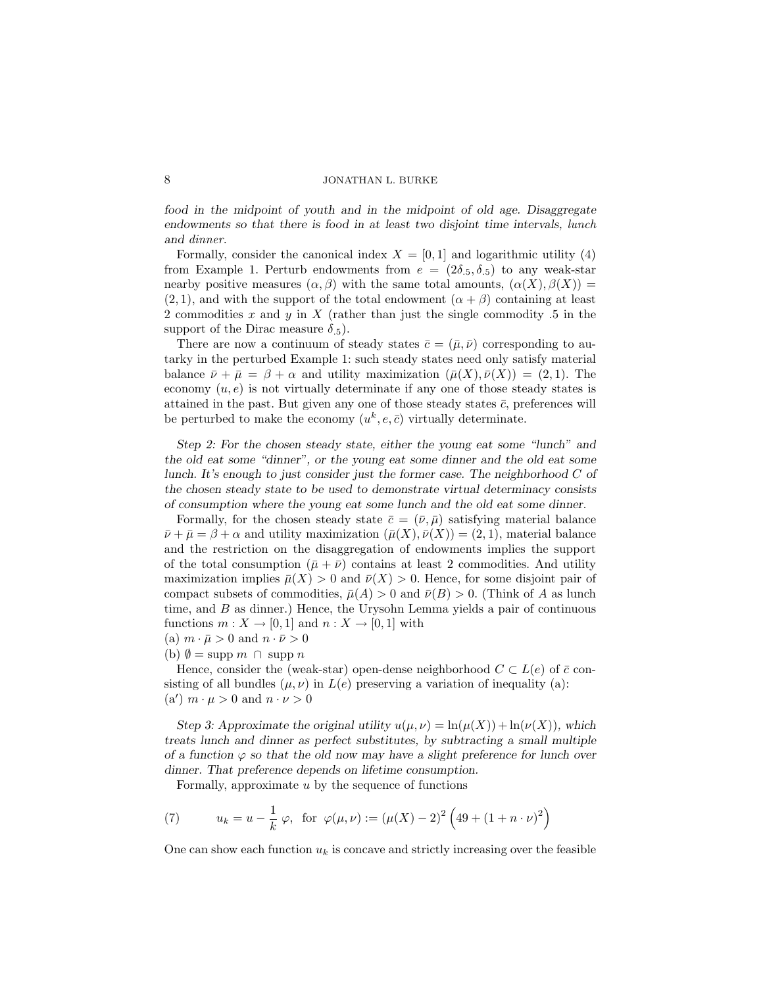food in the midpoint of youth and in the midpoint of old age. Disaggregate endowments so that there is food in at least two disjoint time intervals, lunch and dinner.

Formally, consider the canonical index  $X = [0, 1]$  and logarithmic utility (4) from Example 1. Perturb endowments from  $e = (2\delta_{.5}, \delta_{.5})$  to any weak-star nearby positive measures  $(\alpha, \beta)$  with the same total amounts,  $(\alpha(X), \beta(X)) =$  $(2, 1)$ , and with the support of the total endowment  $(\alpha + \beta)$  containing at least 2 commodities  $x$  and  $y$  in  $X$  (rather than just the single commodity .5 in the support of the Dirac measure  $\delta_{.5}$ ).

There are now a continuum of steady states  $\bar{c} = (\bar{\mu}, \bar{\nu})$  corresponding to autarky in the perturbed Example 1: such steady states need only satisfy material balance  $\bar{\nu} + \bar{\mu} = \beta + \alpha$  and utility maximization  $(\bar{\mu}(X), \bar{\nu}(X)) = (2, 1)$ . The economy  $(u, e)$  is not virtually determinate if any one of those steady states is attained in the past. But given any one of those steady states  $\bar{c}$ , preferences will be perturbed to make the economy  $(u^k, e, \bar{c})$  virtually determinate.

Step 2: For the chosen steady state, either the young eat some "lunch" and the old eat some "dinner", or the young eat some dinner and the old eat some lunch. It's enough to just consider just the former case. The neighborhood  $C$  of the chosen steady state to be used to demonstrate virtual determinacy consists of consumption where the young eat some lunch and the old eat some dinner.

Formally, for the chosen steady state  $\bar{c} = (\bar{\nu}, \bar{\mu})$  satisfying material balance  $\bar{\nu} + \bar{\mu} = \beta + \alpha$  and utility maximization  $(\bar{\mu}(X), \bar{\nu}(X)) = (2, 1)$ , material balance and the restriction on the disaggregation of endowments implies the support of the total consumption  $(\bar{\mu} + \bar{\nu})$  contains at least 2 commodities. And utility maximization implies  $\bar{\mu}(X) > 0$  and  $\bar{\nu}(X) > 0$ . Hence, for some disjoint pair of compact subsets of commodities,  $\bar{\mu}(A) > 0$  and  $\bar{\nu}(B) > 0$ . (Think of A as lunch time, and  $B$  as dinner.) Hence, the Urysohn Lemma yields a pair of continuous functions  $m: X \to [0, 1]$  and  $n: X \to [0, 1]$  with

- (a)  $m \cdot \bar{\mu} > 0$  and  $n \cdot \bar{\nu} > 0$
- (b)  $\emptyset = \text{supp } m \cap \text{supp } n$

Hence, consider the (weak-star) open-dense neighborhood  $C \subset L(e)$  of  $\bar{c}$  consisting of all bundles  $(\mu, \nu)$  in  $L(e)$  preserving a variation of inequality (a): (a')  $m \cdot \mu > 0$  and  $n \cdot \nu > 0$ 

Step 3: Approximate the original utility  $u(\mu, \nu) = \ln(\mu(X)) + \ln(\nu(X))$ , which treats lunch and dinner as perfect substitutes, by subtracting a small multiple of a function  $\varphi$  so that the old now may have a slight preference for lunch over dinner. That preference depends on lifetime consumption.

Formally, approximate  $u$  by the sequence of functions

(7) 
$$
u_k = u - \frac{1}{k} \varphi
$$
, for  $\varphi(\mu, \nu) := (\mu(X) - 2)^2 (49 + (1 + n \cdot \nu)^2)$ 

One can show each function  $u_k$  is concave and strictly increasing over the feasible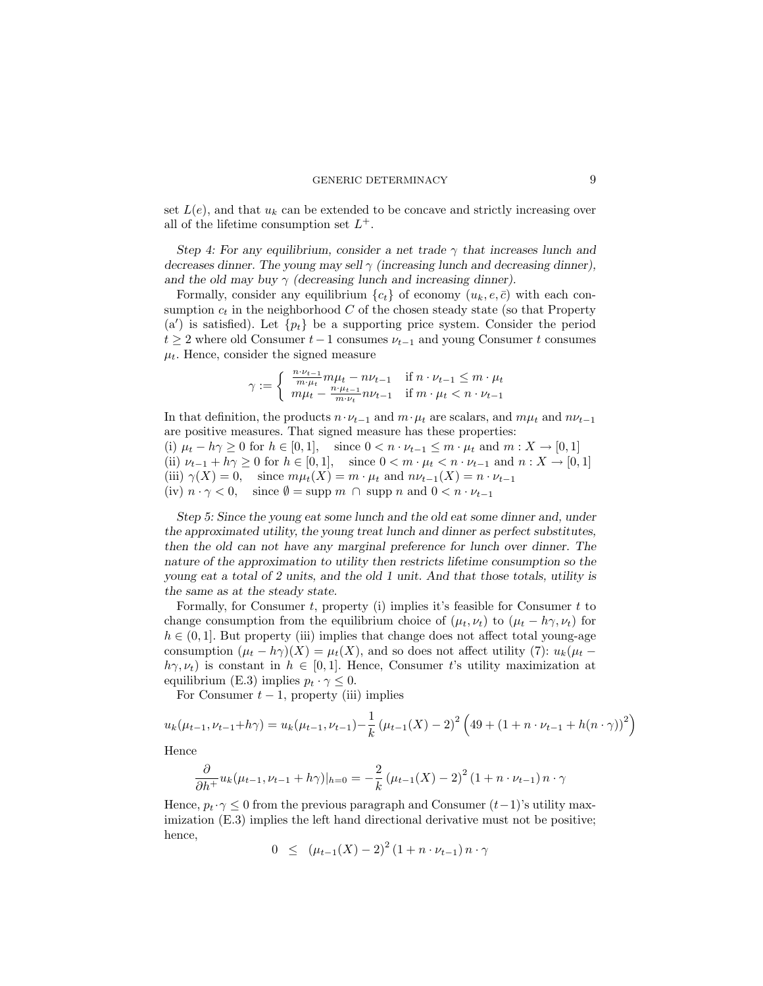set  $L(e)$ , and that  $u_k$  can be extended to be concave and strictly increasing over all of the lifetime consumption set  $L^+$ .

Step 4: For any equilibrium, consider a net trade  $\gamma$  that increases lunch and decreases dinner. The young may sell  $\gamma$  (increasing lunch and decreasing dinner), and the old may buy  $\gamma$  (decreasing lunch and increasing dinner).

Formally, consider any equilibrium  ${c_t}$  of economy  $(u_k, e, \bar{c})$  with each consumption  $c_t$  in the neighborhood C of the chosen steady state (so that Property (a') is satisfied). Let  $\{p_t\}$  be a supporting price system. Consider the period  $t \geq 2$  where old Consumer  $t-1$  consumes  $\nu_{t-1}$  and young Consumer t consumes  $\mu_t$ . Hence, consider the signed measure

$$
\gamma := \begin{cases} \frac{n \cdot \nu_{t-1}}{m \cdot \mu_t} m \mu_t - n \nu_{t-1} & \text{if } n \cdot \nu_{t-1} \le m \cdot \mu_t \\ m \mu_t - \frac{n \cdot \mu_{t-1}}{m \cdot \nu_t} n \nu_{t-1} & \text{if } m \cdot \mu_t < n \cdot \nu_{t-1} \end{cases}
$$

In that definition, the products  $n \cdot \nu_{t-1}$  and  $m \cdot \mu_t$  are scalars, and  $m\mu_t$  and  $n\nu_{t-1}$ are positive measures. That signed measure has these properties:

(i)  $\mu_t - h\gamma \geq 0$  for  $h \in [0, 1]$ , since  $0 < n \cdot \nu_{t-1} \leq m \cdot \mu_t$  and  $m : X \to [0, 1]$ (ii)  $\nu_{t-1} + h\gamma \geq 0$  for  $h \in [0,1]$ , since  $0 < m \cdot \mu_t < n \cdot \nu_{t-1}$  and  $n : X \to [0,1]$ (iii)  $\gamma(X) = 0$ , since  $m\mu_t(X) = m \cdot \mu_t$  and  $n\nu_{t-1}(X) = n \cdot \nu_{t-1}$ (iv)  $n \cdot \gamma < 0$ , since  $\emptyset = \text{supp } m \cap \text{supp } n \text{ and } 0 < n \cdot \nu_{t-1}$ 

Step 5: Since the young eat some lunch and the old eat some dinner and, under the approximated utility, the young treat lunch and dinner as perfect substitutes, then the old can not have any marginal preference for lunch over dinner. The nature of the approximation to utility then restricts lifetime consumption so the young eat a total of 2 units, and the old 1 unit. And that those totals, utility is the same as at the steady state.

Formally, for Consumer  $t$ , property (i) implies it's feasible for Consumer  $t$  to change consumption from the equilibrium choice of  $(\mu_t, \nu_t)$  to  $(\mu_t - h\gamma, \nu_t)$  for  $h \in (0, 1]$ . But property (iii) implies that change does not affect total young-age consumption  $(\mu_t - h\gamma)(X) = \mu_t(X)$ , and so does not affect utility (7):  $u_k(\mu_t$  $h\gamma, \nu_t$ ) is constant in  $h \in [0, 1]$ . Hence, Consumer t's utility maximization at equilibrium (E.3) implies  $p_t \cdot \gamma \leq 0$ .

For Consumer  $t - 1$ , property (iii) implies

$$
u_k(\mu_{t-1}, \nu_{t-1} + h\gamma) = u_k(\mu_{t-1}, \nu_{t-1}) - \frac{1}{k} (\mu_{t-1}(X) - 2)^2 \left(49 + (1 + n \cdot \nu_{t-1} + h(n \cdot \gamma))^2\right)
$$

Hence

$$
\frac{\partial}{\partial h^{+}} u_{k}(\mu_{t-1}, \nu_{t-1} + h\gamma)|_{h=0} = -\frac{2}{k} (\mu_{t-1}(X) - 2)^{2} (1 + n \cdot \nu_{t-1}) n \cdot \gamma
$$

Hence,  $p_t \cdot \gamma \leq 0$  from the previous paragraph and Consumer  $(t-1)$ 's utility maximization  $(E.3)$  implies the left hand directional derivative must not be positive; hence,

$$
0 \le (\mu_{t-1}(X) - 2)^2 (1 + n \cdot \nu_{t-1}) n \cdot \gamma
$$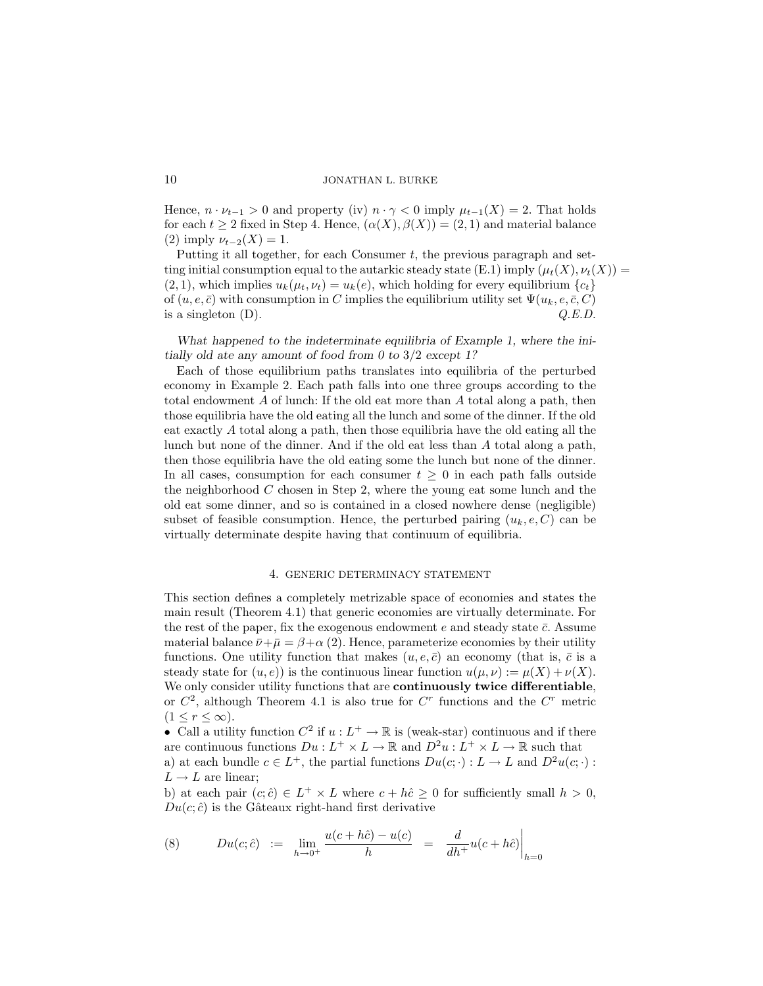Hence,  $n \cdot \nu_{t-1} > 0$  and property (iv)  $n \cdot \gamma < 0$  imply  $\mu_{t-1}(X) = 2$ . That holds for each  $t \geq 2$  fixed in Step 4. Hence,  $(\alpha(X), \beta(X)) = (2, 1)$  and material balance (2) imply  $\nu_{t-2}(X) = 1$ .

Putting it all together, for each Consumer t, the previous paragraph and setting initial consumption equal to the autarkic steady state (E.1) imply  $(\mu_t(X), \nu_t(X)) =$  $(2, 1)$ , which implies  $u_k(\mu_t, \nu_t) = u_k(e)$ , which holding for every equilibrium  $\{c_t\}$ of  $(u, e, \bar{c})$  with consumption in C implies the equilibrium utility set  $\Psi(u_k, e, \bar{c}, C)$ is a singleton  $(D)$ .  $Q.E.D.$ 

What happened to the indeterminate equilibria of Example 1, where the initially old ate any amount of food from 0 to 3/2 except 1?

Each of those equilibrium paths translates into equilibria of the perturbed economy in Example 2. Each path falls into one three groups according to the total endowment A of lunch: If the old eat more than A total along a path, then those equilibria have the old eating all the lunch and some of the dinner. If the old eat exactly A total along a path, then those equilibria have the old eating all the lunch but none of the dinner. And if the old eat less than A total along a path, then those equilibria have the old eating some the lunch but none of the dinner. In all cases, consumption for each consumer  $t \geq 0$  in each path falls outside the neighborhood  $C$  chosen in Step 2, where the young eat some lunch and the old eat some dinner, and so is contained in a closed nowhere dense (negligible) subset of feasible consumption. Hence, the perturbed pairing  $(u_k, e, C)$  can be virtually determinate despite having that continuum of equilibria.

## 4. GENERIC DETERMINACY STATEMENT

This section defines a completely metrizable space of economies and states the main result (Theorem 4.1) that generic economies are virtually determinate. For the rest of the paper, fix the exogenous endowment  $e$  and steady state  $\bar{c}$ . Assume material balance  $\bar{\nu}+\bar{\mu}=\beta+\alpha$  (2). Hence, parameterize economies by their utility functions. One utility function that makes  $(u, e, \bar{c})$  an economy (that is,  $\bar{c}$  is a steady state for  $(u, e)$ ) is the continuous linear function  $u(\mu, \nu) := \mu(X) + \nu(X)$ . We only consider utility functions that are continuously twice differentiable, or  $C^2$ , although Theorem 4.1 is also true for  $C^r$  functions and the  $C^r$  metric  $(1 \leq r \leq \infty).$ 

• Call a utility function  $C^2$  if  $u : L^+ \to \mathbb{R}$  is (weak-star) continuous and if there are continuous functions  $Du: L^+ \times L \to \mathbb{R}$  and  $D^2u: L^+ \times L \to \mathbb{R}$  such that

a) at each bundle  $c \in L^+$ , the partial functions  $Du(c; \cdot) : L \to L$  and  $D^2u(c; \cdot)$ :  $L \rightarrow L$  are linear;

b) at each pair  $(c; \hat{c}) \in L^+ \times L$  where  $c + h\hat{c} \geq 0$  for sufficiently small  $h > 0$ ,  $Du(c; \hat{c})$  is the Gâteaux right-hand first derivative

(8) 
$$
Du(c; \hat{c}) := \lim_{h \to 0^+} \frac{u(c + h\hat{c}) - u(c)}{h} = \frac{d}{dh^+} u(c + h\hat{c}) \Big|_{h=0}
$$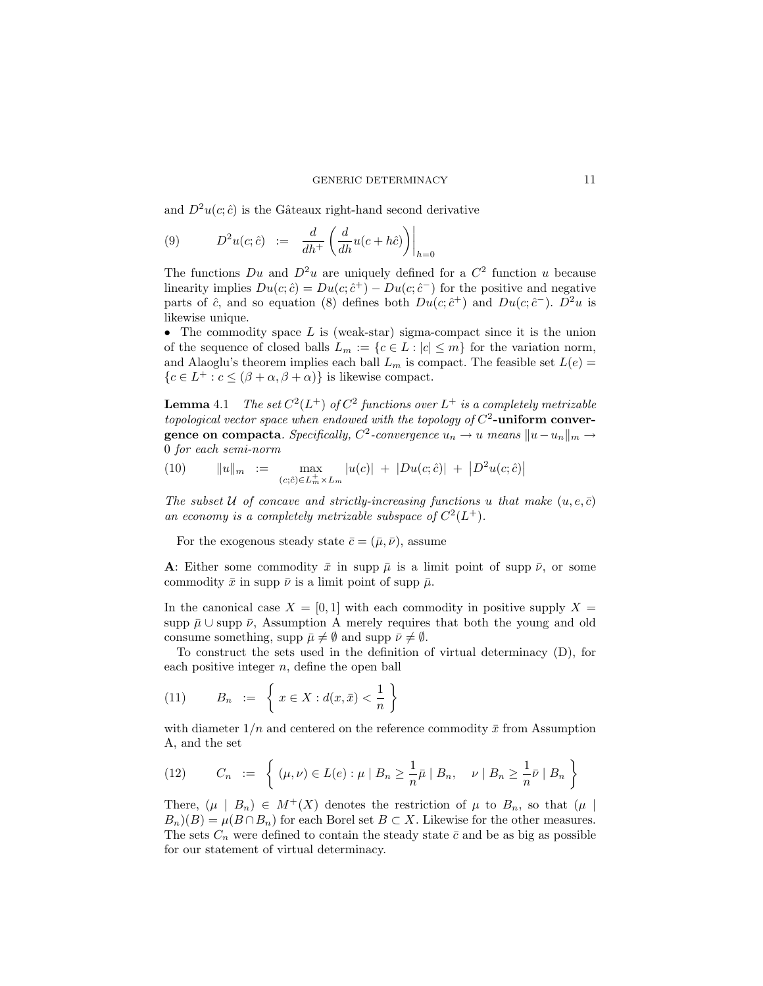and  $D^2u(c; \hat{c})$  is the Gâteaux right-hand second derivative

(9) 
$$
D^2u(c;\hat{c}) := \frac{d}{dh^+}\left(\frac{d}{dh}u(c+h\hat{c})\right)\Big|_{h=0}
$$

The functions  $Du$  and  $D^2u$  are uniquely defined for a  $C^2$  function u because linearity implies  $Du(c; \hat{c}) = Du(c; \hat{c}^+) - Du(c; \hat{c}^-)$  for the positive and negative parts of  $\hat{c}$ , and so equation (8) defines both  $Du(c; \hat{c}^+)$  and  $Du(c; \hat{c}^-)$ .  $D^2u$  is likewise unique.

• The commodity space  $L$  is (weak-star) sigma-compact since it is the union of the sequence of closed balls  $L_m := \{c \in L : |c| \leq m\}$  for the variation norm, and Alaoglu's theorem implies each ball  $L_m$  is compact. The feasible set  $L(e)$  ${c \in L^+ : c \leq (\beta + \alpha, \beta + \alpha)}$  is likewise compact.

**Lemma** 4.1 The set  $C^2(L^+)$  of  $C^2$  functions over  $L^+$  is a completely metrizable topological vector space when endowed with the topology of  $C^2$ -uniform conver- ${\bf generic\,\,\,on\,\,compact\,\,}.$   $Specifically,$   $C^2\text{-}convergence\,\,u_n\to u$  means  $\|u-u_n\|_m\to 0$ 0 for each semi-norm

(10) 
$$
||u||_m := \max_{(c;\hat{c}) \in L_m^+ \times L_m} |u(c)| + |Du(c;\hat{c})| + |D^2 u(c;\hat{c})|
$$

The subset U of concave and strictly-increasing functions u that make  $(u, e, \bar{c})$ an economy is a completely metrizable subspace of  $C^2(L^+)$ .

For the exogenous steady state  $\bar{c} = (\bar{\mu}, \bar{\nu})$ , assume

A: Either some commodity  $\bar{x}$  in supp  $\bar{\mu}$  is a limit point of supp  $\bar{\nu}$ , or some commodity  $\bar{x}$  in supp  $\bar{\nu}$  is a limit point of supp  $\bar{\mu}$ .

In the canonical case  $X = [0, 1]$  with each commodity in positive supply  $X =$ supp  $\bar{\mu} \cup$  supp  $\bar{\nu}$ , Assumption A merely requires that both the young and old consume something, supp  $\bar{\mu} \neq \emptyset$  and supp  $\bar{\nu} \neq \emptyset$ .

To construct the sets used in the definition of virtual determinacy (D), for each positive integer  $n$ , define the open ball

(11) 
$$
B_n := \left\{ x \in X : d(x, \bar{x}) < \frac{1}{n} \right\}
$$

with diameter  $1/n$  and centered on the reference commodity  $\bar{x}$  from Assumption A, and the set

(12) 
$$
C_n := \left\{ (\mu, \nu) \in L(e) : \mu \mid B_n \geq \frac{1}{n} \bar{\mu} \mid B_n, \quad \nu \mid B_n \geq \frac{1}{n} \bar{\nu} \mid B_n \right\}
$$

There,  $(\mu \mid B_n) \in M^+(X)$  denotes the restriction of  $\mu$  to  $B_n$ , so that  $(\mu \mid$  $B_n(G) = \mu(B \cap B_n)$  for each Borel set  $B \subset X$ . Likewise for the other measures. The sets  $C_n$  were defined to contain the steady state  $\bar{c}$  and be as big as possible for our statement of virtual determinacy.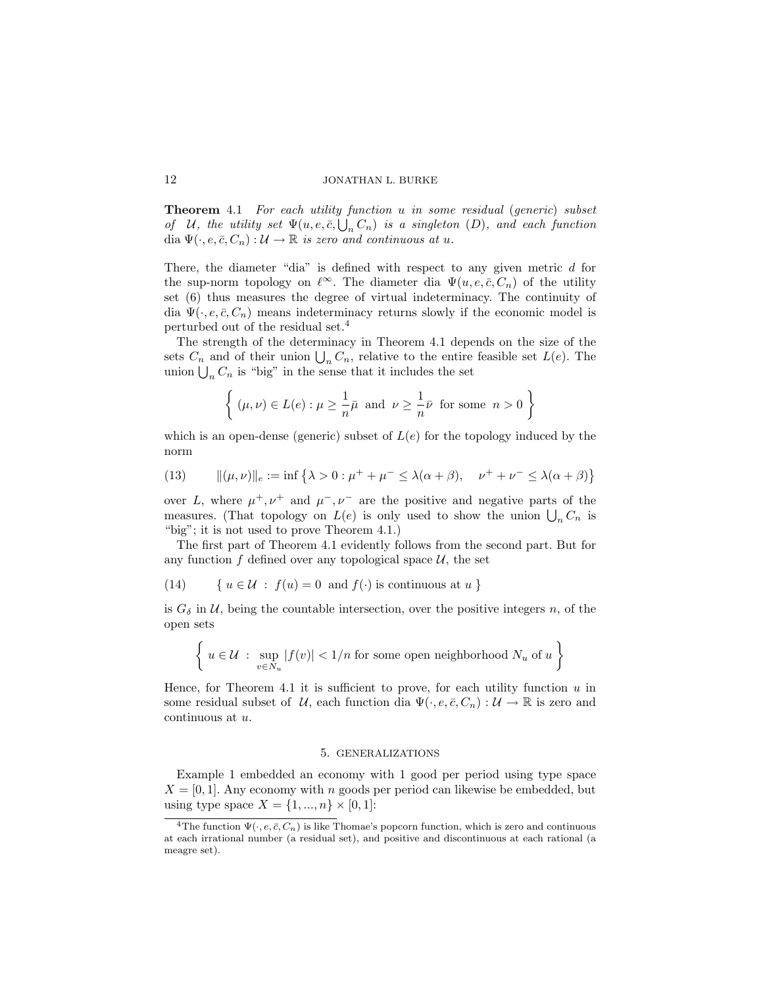Theorem 4.1 For each utility function u in some residual (generic) subset of U, the utility set  $\Psi(u, e, \bar{c}, \bigcup_n C_n)$  is a singleton  $(D)$ , and each function dia  $\Psi(\cdot, e, \bar{c}, C_n): \mathcal{U} \to \mathbb{R}$  is zero and continuous at u.

There, the diameter "dia" is defined with respect to any given metric  $d$  for the sup-norm topology on  $\ell^{\infty}$ . The diameter dia  $\Psi(u, e, \bar{c}, C_n)$  of the utility set (6) thus measures the degree of virtual indeterminacy. The continuity of dia  $\Psi(\cdot, e, \bar{c}, C_n)$  means indeterminacy returns slowly if the economic model is perturbed out of the residual set.<sup>4</sup>

The strength of the determinacy in Theorem 4.1 depends on the size of the sets  $C_n$  and of their union  $\bigcup_n C_n$ , relative to the entire feasible set  $L(e)$ . The union  $\bigcup_n C_n$  is "big" in the sense that it includes the set

$$
\left\{\;(\mu,\nu)\in L(e): \mu\geq \frac{1}{n}\bar{\mu} \;\;\text{and}\;\; \nu\geq \frac{1}{n}\bar{\nu} \;\;\text{for some}\;\; n>0\;\right\}
$$

which is an open-dense (generic) subset of  $L(e)$  for the topology induced by the norm

(13) 
$$
\|(\mu, \nu)\|_e := \inf \{ \lambda > 0 : \mu^+ + \mu^- \le \lambda(\alpha + \beta), \quad \nu^+ + \nu^- \le \lambda(\alpha + \beta) \}
$$

over L, where  $\mu^+, \nu^+$  and  $\mu^-, \nu^-$  are the positive and negative parts of the measures. (That topology on  $L(e)$  is only used to show the union  $\bigcup_n C_n$  is "big"; it is not used to prove Theorem 4.1.)

The first part of Theorem 4.1 evidently follows from the second part. But for any function  $f$  defined over any topological space  $\mathcal{U}$ , the set

(14) {  $u \in \mathcal{U}$  :  $f(u) = 0$  and  $f(\cdot)$  is continuous at  $u$  }

is  $G_{\delta}$  in  $\mathcal{U}$ , being the countable intersection, over the positive integers n, of the open sets

$$
\left\{ u \in \mathcal{U} : \sup_{v \in N_u} |f(v)| < 1/n \text{ for some open neighborhood } N_u \text{ of } u \right\}
$$

Hence, for Theorem 4.1 it is sufficient to prove, for each utility function  $u$  in some residual subset of U, each function dia  $\Psi(\cdot, e, \bar{c}, C_n): \mathcal{U} \to \mathbb{R}$  is zero and continuous at u.

# 5. GENERALIZATIONS

Example 1 embedded an economy with 1 good per period using type space  $X = [0, 1]$ . Any economy with n goods per period can likewise be embedded, but using type space  $X = \{1, ..., n\} \times [0, 1]$ :

<sup>&</sup>lt;sup>4</sup>The function  $\Psi(\cdot, e, \bar{c}, C_n)$  is like Thomae's popcorn function, which is zero and continuous at each irrational number (a residual set), and positive and discontinuous at each rational (a meagre set).